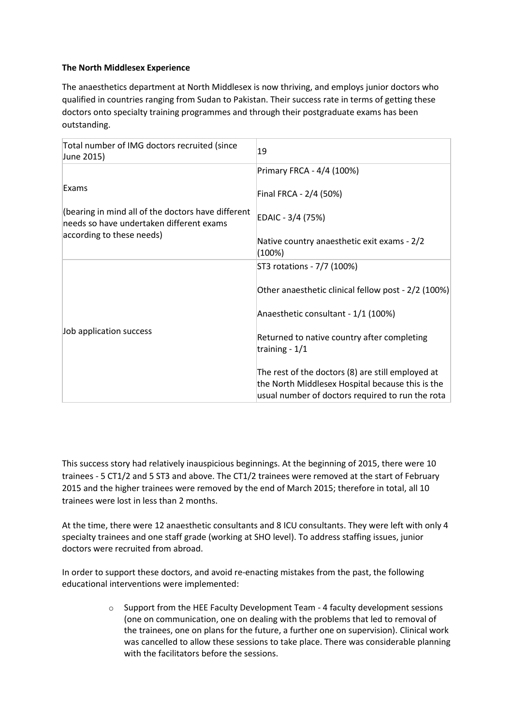## **The North Middlesex Experience**

The anaesthetics department at North Middlesex is now thriving, and employs junior doctors who qualified in countries ranging from Sudan to Pakistan. Their success rate in terms of getting these doctors onto specialty training programmes and through their postgraduate exams has been outstanding.

| Total number of IMG doctors recruited (since<br>June 2015)                                     | 19                                                                                                                                                        |
|------------------------------------------------------------------------------------------------|-----------------------------------------------------------------------------------------------------------------------------------------------------------|
|                                                                                                | Primary FRCA - 4/4 (100%)                                                                                                                                 |
| Exams                                                                                          | Final FRCA - 2/4 (50%)                                                                                                                                    |
| (bearing in mind all of the doctors have different<br>needs so have undertaken different exams | EDAIC - 3/4 (75%)                                                                                                                                         |
| according to these needs)                                                                      | Native country anaesthetic exit exams - 2/2<br>(100%)                                                                                                     |
| Job application success                                                                        | ST3 rotations - 7/7 (100%)                                                                                                                                |
|                                                                                                | Other anaesthetic clinical fellow post - 2/2 (100%)                                                                                                       |
|                                                                                                | Anaesthetic consultant - 1/1 (100%)                                                                                                                       |
|                                                                                                | Returned to native country after completing<br>training - $1/1$                                                                                           |
|                                                                                                | The rest of the doctors (8) are still employed at<br>the North Middlesex Hospital because this is the<br>usual number of doctors required to run the rota |

This success story had relatively inauspicious beginnings. At the beginning of 2015, there were 10 trainees - 5 CT1/2 and 5 ST3 and above. The CT1/2 trainees were removed at the start of February 2015 and the higher trainees were removed by the end of March 2015; therefore in total, all 10 trainees were lost in less than 2 months.

At the time, there were 12 anaesthetic consultants and 8 ICU consultants. They were left with only 4 specialty trainees and one staff grade (working at SHO level). To address staffing issues, junior doctors were recruited from abroad.

In order to support these doctors, and avoid re-enacting mistakes from the past, the following educational interventions were implemented:

> $\circ$  Support from the HEE Faculty Development Team - 4 faculty development sessions (one on communication, one on dealing with the problems that led to removal of the trainees, one on plans for the future, a further one on supervision). Clinical work was cancelled to allow these sessions to take place. There was considerable planning with the facilitators before the sessions.